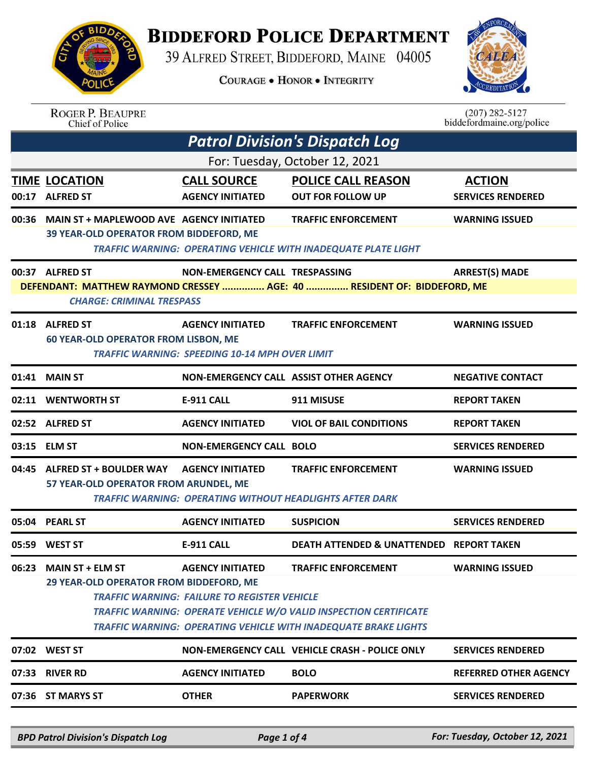

## **BIDDEFORD POLICE DEPARTMENT**

39 ALFRED STREET, BIDDEFORD, MAINE 04005

**COURAGE . HONOR . INTEGRITY** 



## ROGER P. BEAUPRE<br>Chief of Police

 $(207)$  282-5127 biddefordmaine.org/police

| <b>Patrol Division's Dispatch Log</b> |                                                                                                             |                                                     |                                                                                                                                                    |                                           |  |
|---------------------------------------|-------------------------------------------------------------------------------------------------------------|-----------------------------------------------------|----------------------------------------------------------------------------------------------------------------------------------------------------|-------------------------------------------|--|
|                                       | For: Tuesday, October 12, 2021                                                                              |                                                     |                                                                                                                                                    |                                           |  |
|                                       | <b>TIME LOCATION</b><br>00:17 ALFRED ST                                                                     | <b>CALL SOURCE</b><br><b>AGENCY INITIATED</b>       | <b>POLICE CALL REASON</b><br><b>OUT FOR FOLLOW UP</b>                                                                                              | <b>ACTION</b><br><b>SERVICES RENDERED</b> |  |
|                                       | 00:36 MAIN ST + MAPLEWOOD AVE AGENCY INITIATED<br>39 YEAR-OLD OPERATOR FROM BIDDEFORD, ME                   |                                                     | <b>TRAFFIC ENFORCEMENT</b><br><b>TRAFFIC WARNING: OPERATING VEHICLE WITH INADEQUATE PLATE LIGHT</b>                                                | <b>WARNING ISSUED</b>                     |  |
|                                       | 00:37 ALFRED ST                                                                                             | NON-EMERGENCY CALL TRESPASSING                      |                                                                                                                                                    | <b>ARREST(S) MADE</b>                     |  |
|                                       | DEFENDANT: MATTHEW RAYMOND CRESSEY  AGE: 40  RESIDENT OF: BIDDEFORD, ME<br><b>CHARGE: CRIMINAL TRESPASS</b> |                                                     |                                                                                                                                                    |                                           |  |
|                                       | 01:18 ALFRED ST                                                                                             | <b>AGENCY INITIATED</b>                             | <b>TRAFFIC ENFORCEMENT</b>                                                                                                                         | <b>WARNING ISSUED</b>                     |  |
|                                       | <b>60 YEAR-OLD OPERATOR FROM LISBON, ME</b><br><b>TRAFFIC WARNING: SPEEDING 10-14 MPH OVER LIMIT</b>        |                                                     |                                                                                                                                                    |                                           |  |
|                                       | 01:41 MAIN ST                                                                                               |                                                     | NON-EMERGENCY CALL ASSIST OTHER AGENCY                                                                                                             | <b>NEGATIVE CONTACT</b>                   |  |
|                                       | 02:11 WENTWORTH ST                                                                                          | <b>E-911 CALL</b>                                   | 911 MISUSE                                                                                                                                         | <b>REPORT TAKEN</b>                       |  |
|                                       | 02:52 ALFRED ST                                                                                             | <b>AGENCY INITIATED</b>                             | <b>VIOL OF BAIL CONDITIONS</b>                                                                                                                     | <b>REPORT TAKEN</b>                       |  |
|                                       | 03:15 ELM ST                                                                                                | <b>NON-EMERGENCY CALL BOLO</b>                      |                                                                                                                                                    | <b>SERVICES RENDERED</b>                  |  |
| 04:45                                 | <b>ALFRED ST + BOULDER WAY</b>                                                                              | <b>AGENCY INITIATED</b>                             | <b>TRAFFIC ENFORCEMENT</b>                                                                                                                         | <b>WARNING ISSUED</b>                     |  |
|                                       | 57 YEAR-OLD OPERATOR FROM ARUNDEL, ME<br><b>TRAFFIC WARNING: OPERATING WITHOUT HEADLIGHTS AFTER DARK</b>    |                                                     |                                                                                                                                                    |                                           |  |
|                                       | 05:04 PEARL ST                                                                                              | <b>AGENCY INITIATED</b>                             | <b>SUSPICION</b>                                                                                                                                   | <b>SERVICES RENDERED</b>                  |  |
|                                       | 05:59 WEST ST                                                                                               | <b>E-911 CALL</b>                                   | DEATH ATTENDED & UNATTENDED REPORT TAKEN                                                                                                           |                                           |  |
| 06:23                                 | <b>MAIN ST + ELM ST</b><br>29 YEAR-OLD OPERATOR FROM BIDDEFORD, ME                                          | <b>AGENCY INITIATED</b>                             | <b>TRAFFIC ENFORCEMENT</b>                                                                                                                         | <b>WARNING ISSUED</b>                     |  |
|                                       |                                                                                                             | <b>TRAFFIC WARNING: FAILURE TO REGISTER VEHICLE</b> |                                                                                                                                                    |                                           |  |
|                                       |                                                                                                             |                                                     | <b>TRAFFIC WARNING: OPERATE VEHICLE W/O VALID INSPECTION CERTIFICATE</b><br><b>TRAFFIC WARNING: OPERATING VEHICLE WITH INADEQUATE BRAKE LIGHTS</b> |                                           |  |
|                                       | 07:02 WEST ST                                                                                               |                                                     | NON-EMERGENCY CALL VEHICLE CRASH - POLICE ONLY                                                                                                     | <b>SERVICES RENDERED</b>                  |  |
|                                       | 07:33 RIVER RD                                                                                              | <b>AGENCY INITIATED</b>                             | <b>BOLO</b>                                                                                                                                        | <b>REFERRED OTHER AGENCY</b>              |  |
|                                       | 07:36 ST MARYS ST                                                                                           | <b>OTHER</b>                                        | <b>PAPERWORK</b>                                                                                                                                   | <b>SERVICES RENDERED</b>                  |  |
|                                       |                                                                                                             |                                                     |                                                                                                                                                    |                                           |  |

*BPD Patrol Division's Dispatch Log Page 1 of 4 For: Tuesday, October 12, 2021*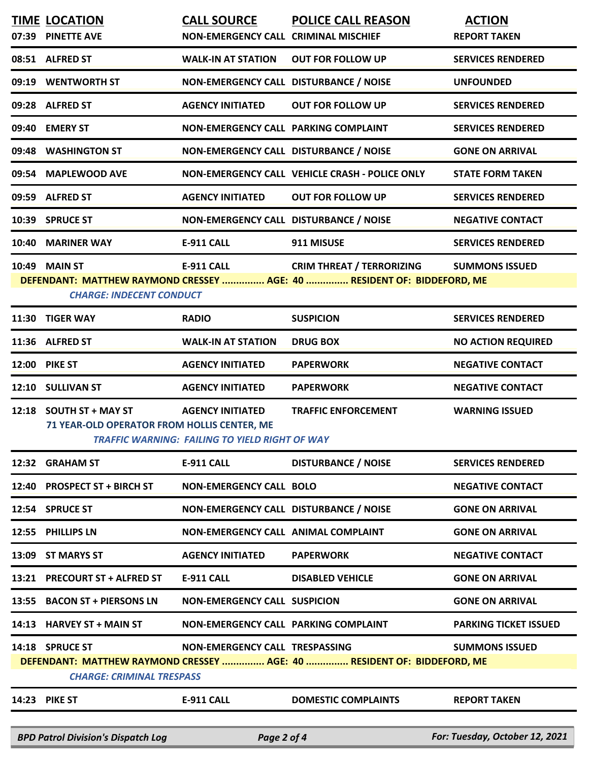|                                                                         | <b>TIME LOCATION</b>                                                   | <b>CALL SOURCE</b>                                    | <b>POLICE CALL REASON</b>                                               | <b>ACTION</b>                |  |
|-------------------------------------------------------------------------|------------------------------------------------------------------------|-------------------------------------------------------|-------------------------------------------------------------------------|------------------------------|--|
|                                                                         | 07:39 PINETTE AVE                                                      | NON-EMERGENCY CALL CRIMINAL MISCHIEF                  |                                                                         | <b>REPORT TAKEN</b>          |  |
|                                                                         | 08:51 ALFRED ST                                                        | <b>WALK-IN AT STATION</b>                             | <b>OUT FOR FOLLOW UP</b>                                                | <b>SERVICES RENDERED</b>     |  |
|                                                                         | 09:19 WENTWORTH ST                                                     | NON-EMERGENCY CALL DISTURBANCE / NOISE                |                                                                         | <b>UNFOUNDED</b>             |  |
|                                                                         | 09:28 ALFRED ST                                                        | <b>AGENCY INITIATED</b>                               | <b>OUT FOR FOLLOW UP</b>                                                | <b>SERVICES RENDERED</b>     |  |
|                                                                         | 09:40 EMERY ST                                                         | NON-EMERGENCY CALL PARKING COMPLAINT                  |                                                                         | <b>SERVICES RENDERED</b>     |  |
|                                                                         | 09:48 WASHINGTON ST                                                    | NON-EMERGENCY CALL DISTURBANCE / NOISE                |                                                                         | <b>GONE ON ARRIVAL</b>       |  |
|                                                                         | 09:54 MAPLEWOOD AVE                                                    |                                                       | NON-EMERGENCY CALL VEHICLE CRASH - POLICE ONLY                          | <b>STATE FORM TAKEN</b>      |  |
|                                                                         | 09:59 ALFRED ST                                                        | <b>AGENCY INITIATED</b>                               | <b>OUT FOR FOLLOW UP</b>                                                | <b>SERVICES RENDERED</b>     |  |
|                                                                         | 10:39 SPRUCE ST                                                        | NON-EMERGENCY CALL DISTURBANCE / NOISE                |                                                                         | <b>NEGATIVE CONTACT</b>      |  |
|                                                                         | 10:40 MARINER WAY                                                      | <b>E-911 CALL</b>                                     | 911 MISUSE                                                              | <b>SERVICES RENDERED</b>     |  |
|                                                                         | 10:49 MAIN ST                                                          | <b>E-911 CALL</b>                                     | <b>CRIM THREAT / TERRORIZING</b>                                        | <b>SUMMONS ISSUED</b>        |  |
| DEFENDANT: MATTHEW RAYMOND CRESSEY  AGE: 40  RESIDENT OF: BIDDEFORD, ME |                                                                        |                                                       |                                                                         |                              |  |
|                                                                         | <b>CHARGE: INDECENT CONDUCT</b>                                        |                                                       |                                                                         |                              |  |
|                                                                         | 11:30 TIGER WAY                                                        | <b>RADIO</b>                                          | <b>SUSPICION</b>                                                        | <b>SERVICES RENDERED</b>     |  |
|                                                                         | 11:36 ALFRED ST                                                        | <b>WALK-IN AT STATION</b>                             | <b>DRUG BOX</b>                                                         | <b>NO ACTION REQUIRED</b>    |  |
|                                                                         | <b>12:00 PIKE ST</b>                                                   | <b>AGENCY INITIATED</b>                               | <b>PAPERWORK</b>                                                        | <b>NEGATIVE CONTACT</b>      |  |
|                                                                         | 12:10 SULLIVAN ST                                                      | <b>AGENCY INITIATED</b>                               | <b>PAPERWORK</b>                                                        | <b>NEGATIVE CONTACT</b>      |  |
|                                                                         | 12:18 SOUTH ST + MAY ST<br>71 YEAR-OLD OPERATOR FROM HOLLIS CENTER, ME | <b>AGENCY INITIATED</b>                               | <b>TRAFFIC ENFORCEMENT</b>                                              | <b>WARNING ISSUED</b>        |  |
|                                                                         |                                                                        | <b>TRAFFIC WARNING: FAILING TO YIELD RIGHT OF WAY</b> |                                                                         |                              |  |
|                                                                         | 12:32 GRAHAM ST                                                        | <b>E-911 CALL</b>                                     | <b>DISTURBANCE / NOISE</b>                                              | <b>SERVICES RENDERED</b>     |  |
|                                                                         | 12:40 PROSPECT ST + BIRCH ST                                           | <b>NON-EMERGENCY CALL BOLO</b>                        |                                                                         | <b>NEGATIVE CONTACT</b>      |  |
|                                                                         | 12:54 SPRUCE ST                                                        | NON-EMERGENCY CALL DISTURBANCE / NOISE                |                                                                         | <b>GONE ON ARRIVAL</b>       |  |
|                                                                         | 12:55 PHILLIPS LN                                                      | NON-EMERGENCY CALL ANIMAL COMPLAINT                   |                                                                         | <b>GONE ON ARRIVAL</b>       |  |
|                                                                         | 13:09 ST MARYS ST                                                      | <b>AGENCY INITIATED</b>                               | <b>PAPERWORK</b>                                                        | <b>NEGATIVE CONTACT</b>      |  |
|                                                                         | 13:21 PRECOURT ST + ALFRED ST                                          | <b>E-911 CALL</b>                                     | <b>DISABLED VEHICLE</b>                                                 | <b>GONE ON ARRIVAL</b>       |  |
|                                                                         | 13:55 BACON ST + PIERSONS LN                                           | <b>NON-EMERGENCY CALL SUSPICION</b>                   |                                                                         | <b>GONE ON ARRIVAL</b>       |  |
|                                                                         | 14:13 HARVEY ST + MAIN ST                                              | NON-EMERGENCY CALL PARKING COMPLAINT                  |                                                                         | <b>PARKING TICKET ISSUED</b> |  |
|                                                                         | 14:18 SPRUCE ST                                                        | NON-EMERGENCY CALL TRESPASSING                        |                                                                         | <b>SUMMONS ISSUED</b>        |  |
|                                                                         |                                                                        |                                                       | DEFENDANT: MATTHEW RAYMOND CRESSEY  AGE: 40  RESIDENT OF: BIDDEFORD, ME |                              |  |
| <b>CHARGE: CRIMINAL TRESPASS</b>                                        |                                                                        |                                                       |                                                                         |                              |  |
|                                                                         | <b>14:23 PIKE ST</b>                                                   | <b>E-911 CALL</b>                                     | <b>DOMESTIC COMPLAINTS</b>                                              | <b>REPORT TAKEN</b>          |  |
|                                                                         |                                                                        |                                                       |                                                                         |                              |  |

*BPD Patrol Division's Dispatch Log Page 2 of 4 For: Tuesday, October 12, 2021*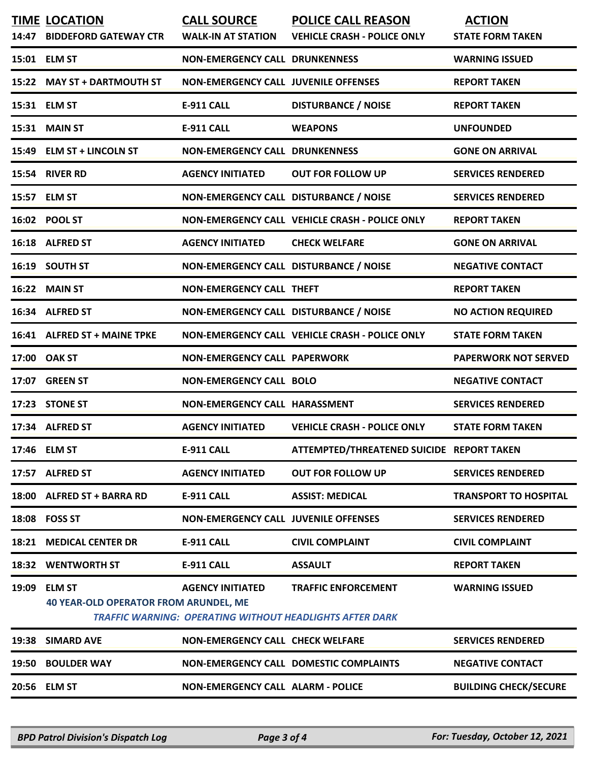| 14:47 | <b>TIME LOCATION</b><br><b>BIDDEFORD GATEWAY CTR</b>          | <b>CALL SOURCE</b><br><b>WALK-IN AT STATION</b> | <b>POLICE CALL REASON</b><br><b>VEHICLE CRASH - POLICE ONLY</b>                               | <b>ACTION</b><br><b>STATE FORM TAKEN</b> |
|-------|---------------------------------------------------------------|-------------------------------------------------|-----------------------------------------------------------------------------------------------|------------------------------------------|
|       | 15:01 ELM ST                                                  | <b>NON-EMERGENCY CALL DRUNKENNESS</b>           |                                                                                               | <b>WARNING ISSUED</b>                    |
|       | 15:22 MAY ST + DARTMOUTH ST                                   | <b>NON-EMERGENCY CALL JUVENILE OFFENSES</b>     |                                                                                               | <b>REPORT TAKEN</b>                      |
|       | 15:31 ELM ST                                                  | E-911 CALL                                      | <b>DISTURBANCE / NOISE</b>                                                                    | <b>REPORT TAKEN</b>                      |
|       | 15:31 MAIN ST                                                 | <b>E-911 CALL</b>                               | <b>WEAPONS</b>                                                                                | <b>UNFOUNDED</b>                         |
|       | 15:49 ELM ST + LINCOLN ST                                     | <b>NON-EMERGENCY CALL DRUNKENNESS</b>           |                                                                                               | <b>GONE ON ARRIVAL</b>                   |
|       | 15:54 RIVER RD                                                | <b>AGENCY INITIATED</b>                         | <b>OUT FOR FOLLOW UP</b>                                                                      | <b>SERVICES RENDERED</b>                 |
|       | 15:57 ELM ST                                                  | NON-EMERGENCY CALL DISTURBANCE / NOISE          |                                                                                               | <b>SERVICES RENDERED</b>                 |
|       | 16:02 POOL ST                                                 |                                                 | NON-EMERGENCY CALL VEHICLE CRASH - POLICE ONLY                                                | <b>REPORT TAKEN</b>                      |
|       | 16:18 ALFRED ST                                               | <b>AGENCY INITIATED</b>                         | <b>CHECK WELFARE</b>                                                                          | <b>GONE ON ARRIVAL</b>                   |
|       | 16:19 SOUTH ST                                                | NON-EMERGENCY CALL DISTURBANCE / NOISE          |                                                                                               | <b>NEGATIVE CONTACT</b>                  |
|       | 16:22 MAIN ST                                                 | <b>NON-EMERGENCY CALL THEFT</b>                 |                                                                                               | <b>REPORT TAKEN</b>                      |
|       | 16:34 ALFRED ST                                               | NON-EMERGENCY CALL DISTURBANCE / NOISE          |                                                                                               | <b>NO ACTION REQUIRED</b>                |
|       | 16:41 ALFRED ST + MAINE TPKE                                  |                                                 | NON-EMERGENCY CALL VEHICLE CRASH - POLICE ONLY                                                | <b>STATE FORM TAKEN</b>                  |
|       | 17:00 OAK ST                                                  | <b>NON-EMERGENCY CALL PAPERWORK</b>             |                                                                                               | <b>PAPERWORK NOT SERVED</b>              |
|       | 17:07 GREEN ST                                                | <b>NON-EMERGENCY CALL BOLO</b>                  |                                                                                               | <b>NEGATIVE CONTACT</b>                  |
|       | 17:23 STONE ST                                                | NON-EMERGENCY CALL HARASSMENT                   |                                                                                               | <b>SERVICES RENDERED</b>                 |
|       | 17:34 ALFRED ST                                               | <b>AGENCY INITIATED</b>                         | <b>VEHICLE CRASH - POLICE ONLY</b>                                                            | <b>STATE FORM TAKEN</b>                  |
|       | 17:46 ELM ST                                                  | <b>E-911 CALL</b>                               | ATTEMPTED/THREATENED SUICIDE REPORT TAKEN                                                     |                                          |
|       | 17:57 ALFRED ST                                               | <b>AGENCY INITIATED</b>                         | <b>OUT FOR FOLLOW UP</b>                                                                      | <b>SERVICES RENDERED</b>                 |
| 18:00 | <b>ALFRED ST + BARRA RD</b>                                   | <b>E-911 CALL</b>                               | <b>ASSIST: MEDICAL</b>                                                                        | <b>TRANSPORT TO HOSPITAL</b>             |
|       | 18:08 FOSS ST                                                 | <b>NON-EMERGENCY CALL JUVENILE OFFENSES</b>     |                                                                                               | <b>SERVICES RENDERED</b>                 |
| 18:21 | <b>MEDICAL CENTER DR</b>                                      | <b>E-911 CALL</b>                               | <b>CIVIL COMPLAINT</b>                                                                        | <b>CIVIL COMPLAINT</b>                   |
| 18:32 | <b>WENTWORTH ST</b>                                           | <b>E-911 CALL</b>                               | <b>ASSAULT</b>                                                                                | <b>REPORT TAKEN</b>                      |
| 19:09 | <b>ELM ST</b><br><b>40 YEAR-OLD OPERATOR FROM ARUNDEL, ME</b> | <b>AGENCY INITIATED</b>                         | <b>TRAFFIC ENFORCEMENT</b><br><b>TRAFFIC WARNING: OPERATING WITHOUT HEADLIGHTS AFTER DARK</b> | <b>WARNING ISSUED</b>                    |
| 19:38 | <b>SIMARD AVE</b>                                             | <b>NON-EMERGENCY CALL CHECK WELFARE</b>         |                                                                                               | <b>SERVICES RENDERED</b>                 |
| 19:50 | <b>BOULDER WAY</b>                                            |                                                 | <b>NON-EMERGENCY CALL DOMESTIC COMPLAINTS</b>                                                 | <b>NEGATIVE CONTACT</b>                  |
| 20:56 | <b>ELM ST</b>                                                 | <b>NON-EMERGENCY CALL ALARM - POLICE</b>        |                                                                                               | <b>BUILDING CHECK/SECURE</b>             |